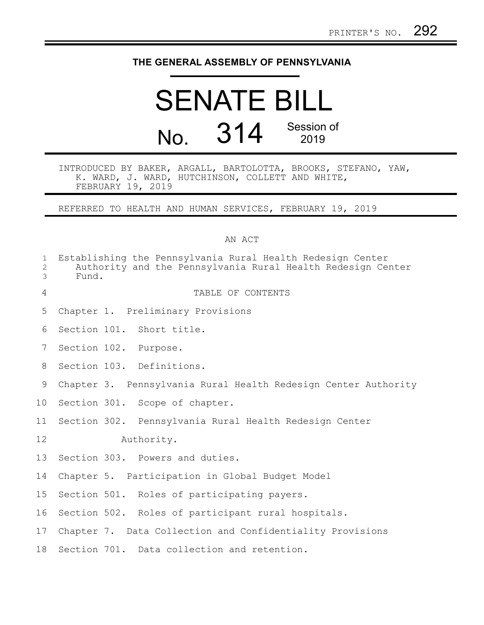# **THE GENERAL ASSEMBLY OF PENNSYLVANIA**

# SENATE BILL No. 314 Session of 2019

INTRODUCED BY BAKER, ARGALL, BARTOLOTTA, BROOKS, STEFANO, YAW, K. WARD, J. WARD, HUTCHINSON, COLLETT AND WHITE, FEBRUARY 19, 2019

REFERRED TO HEALTH AND HUMAN SERVICES, FEBRUARY 19, 2019

#### AN ACT

| $\mathbf 1$<br>$\mathbf{2}$<br>$\mathfrak{Z}$ | Fund.      |  | Establishing the Pennsylvania Rural Health Redesign Center<br>Authority and the Pennsylvania Rural Health Redesign Center |
|-----------------------------------------------|------------|--|---------------------------------------------------------------------------------------------------------------------------|
| $\overline{4}$                                |            |  | TABLE OF CONTENTS                                                                                                         |
| 5                                             |            |  | Chapter 1. Preliminary Provisions                                                                                         |
| 6                                             |            |  | Section 101. Short title.                                                                                                 |
| 7                                             |            |  | Section 102. Purpose.                                                                                                     |
| 8                                             |            |  | Section 103. Definitions.                                                                                                 |
| 9                                             |            |  | Chapter 3. Pennsylvania Rural Health Redesign Center Authority                                                            |
| 10                                            |            |  | Section 301. Scope of chapter.                                                                                            |
| 11                                            |            |  | Section 302. Pennsylvania Rural Health Redesign Center                                                                    |
| 12                                            | Authority. |  |                                                                                                                           |
| 13                                            |            |  | Section 303. Powers and duties.                                                                                           |
| 14                                            |            |  | Chapter 5. Participation in Global Budget Model                                                                           |
| 15                                            |            |  | Section 501. Roles of participating payers.                                                                               |
| 16                                            |            |  | Section 502. Roles of participant rural hospitals.                                                                        |
| 17                                            |            |  | Chapter 7. Data Collection and Confidentiality Provisions                                                                 |
| 18                                            |            |  | Section 701. Data collection and retention.                                                                               |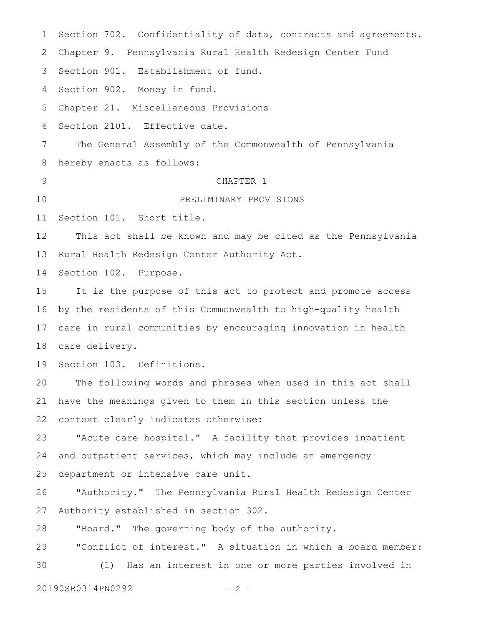Section 702. Confidentiality of data, contracts and agreements. Chapter 9. Pennsylvania Rural Health Redesign Center Fund 3 Section 901. Establishment of fund. Section 902. Money in fund. Chapter 21. Miscellaneous Provisions Section 2101. Effective date. The General Assembly of the Commonwealth of Pennsylvania hereby enacts as follows: CHAPTER 1 PRELIMINARY PROVISIONS Section 101. Short title. This act shall be known and may be cited as the Pennsylvania Rural Health Redesign Center Authority Act. Section 102. Purpose. It is the purpose of this act to protect and promote access by the residents of this Commonwealth to high-quality health care in rural communities by encouraging innovation in health 18 care delivery. Section 103. Definitions. The following words and phrases when used in this act shall have the meanings given to them in this section unless the context clearly indicates otherwise: "Acute care hospital." A facility that provides inpatient and outpatient services, which may include an emergency department or intensive care unit. "Authority."The Pennsylvania Rural Health Redesign Center Authority established in section 302. "Board." The governing body of the authority. "Conflict of interest." A situation in which a board member: (1) Has an interest in one or more parties involved in 1 2 4 5 6 7 8 9 10 11 12 13 14 15 16 17 19 20 21 22 23 24 25 26 27 28 29 30

20190SB0314PN0292 - 2 -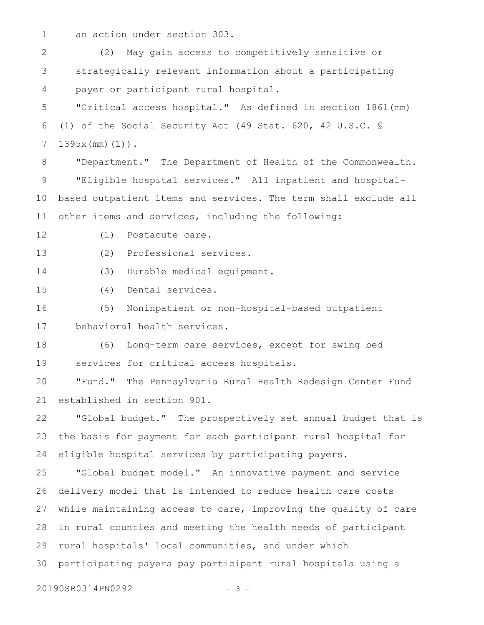an action under section 303. 1

(2) May gain access to competitively sensitive or strategically relevant information about a participating payer or participant rural hospital. 2 3 4

"Critical access hospital." As defined in section 1861(mm) (1) of the Social Security Act (49 Stat. 620, 42 U.S.C. § 1395x(mm)(1))*.* 5 6 7

"Department." The Department of Health of the Commonwealth. "Eligible hospital services." All inpatient and hospitalbased outpatient items and services. The term shall exclude all other items and services, including the following: 8 9 10 11

(1) Postacute care. 12

(2) Professional services. 13

(3) Durable medical equipment. 14

(4) Dental services. 15

(5) Noninpatient or non-hospital-based outpatient behavioral health services. 16 17

(6) Long-term care services, except for swing bed services for critical access hospitals. 18 19

"Fund." The Pennsylvania Rural Health Redesign Center Fund established in section 901. 20 21

"Global budget."The prospectively set annual budget that is the basis for payment for each participant rural hospital for eligible hospital services by participating payers. 22 23 24

"Global budget model." An innovative payment and service delivery model that is intended to reduce health care costs while maintaining access to care, improving the quality of care in rural counties and meeting the health needs of participant rural hospitals' local communities, and under which participating payers pay participant rural hospitals using a 25 26 27 28 29 30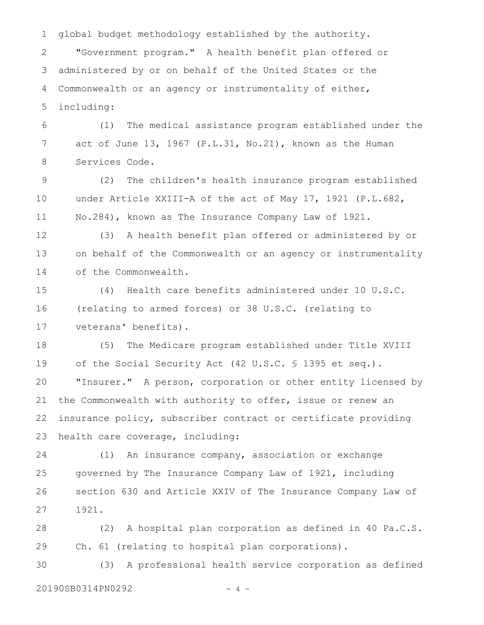global budget methodology established by the authority. 1

"Government program." A health benefit plan offered or administered by or on behalf of the United States or the Commonwealth or an agency or instrumentality of either, including: 2 3 4 5

(1) The medical assistance program established under the act of June 13, 1967 (P.L.31, No.21), known as the Human Services Code. 6 7 8

(2) The children's health insurance program established under Article XXIII-A of the act of May 17, 1921 (P.L.682, No.284), known as The Insurance Company Law of 1921. 9 10 11

(3) A health benefit plan offered or administered by or on behalf of the Commonwealth or an agency or instrumentality of the Commonwealth. 12 13 14

(4) Health care benefits administered under 10 U.S.C. (relating to armed forces) or 38 U.S.C. (relating to veterans' benefits). 15 16 17

(5) The Medicare program established under Title XVIII of the Social Security Act (42 U.S.C. § 1395 et seq.). "Insurer." A person, corporation or other entity licensed by the Commonwealth with authority to offer, issue or renew an insurance policy, subscriber contract or certificate providing health care coverage, including: 18 19 20 21 22 23

(1) An insurance company, association or exchange governed by The Insurance Company Law of 1921, including section 630 and Article XXIV of The Insurance Company Law of 1921. 24 25 26 27

(2) A hospital plan corporation as defined in 40 Pa.C.S. Ch. 61 (relating to hospital plan corporations). 28 29

(3) A professional health service corporation as defined 20190SB0314PN0292 - 4 -30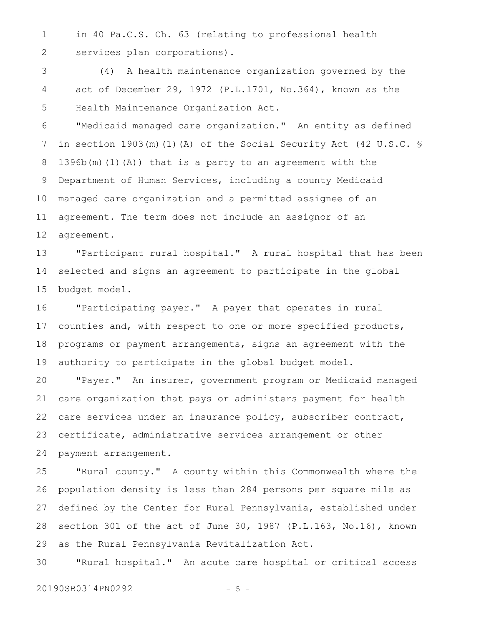in 40 Pa.C.S. Ch. 63 (relating to professional health services plan corporations). 1 2

(4) A health maintenance organization governed by the act of December 29, 1972 (P.L.1701, No.364), known as the Health Maintenance Organization Act. 3 4 5

"Medicaid managed care organization." An entity as defined in section 1903(m)(1)(A) of the Social Security Act (42 U.S.C. § 1396b(m)(1)(A)) that is a party to an agreement with the Department of Human Services, including a county Medicaid managed care organization and a permitted assignee of an agreement. The term does not include an assignor of an agreement. 6 7 8 9 10 11 12

"Participant rural hospital." A rural hospital that has been selected and signs an agreement to participate in the global budget model. 13 14 15

"Participating payer."A payer that operates in rural counties and, with respect to one or more specified products, programs or payment arrangements, signs an agreement with the authority to participate in the global budget model. 16 17 18 19

"Payer." An insurer, government program or Medicaid managed care organization that pays or administers payment for health care services under an insurance policy, subscriber contract, certificate, administrative services arrangement or other payment arrangement. 20 21 22 23 24

"Rural county." A county within this Commonwealth where the population density is less than 284 persons per square mile as defined by the Center for Rural Pennsylvania, established under section 301 of the act of June 30, 1987 (P.L.163, No.16), known as the Rural Pennsylvania Revitalization Act. 25 26 27 28 29

"Rural hospital." An acute care hospital or critical access 30

20190SB0314PN0292 - 5 -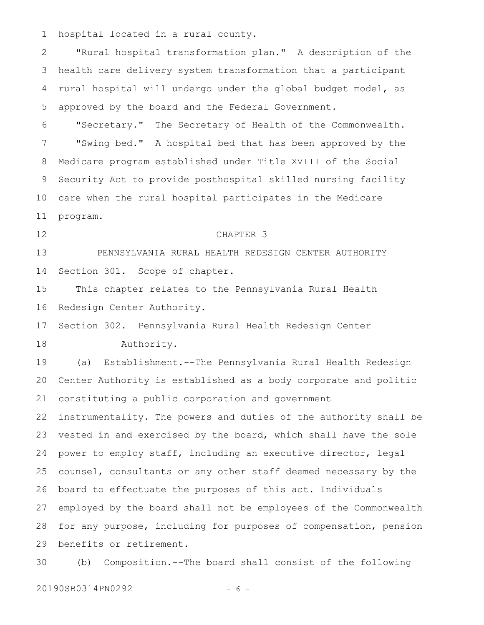hospital located in a rural county. 1

"Rural hospital transformation plan." A description of the health care delivery system transformation that a participant rural hospital will undergo under the global budget model, as approved by the board and the Federal Government. 2 3 4 5

"Secretary." The Secretary of Health of the Commonwealth. "Swing bed." A hospital bed that has been approved by the Medicare program established under Title XVIII of the Social Security Act to provide posthospital skilled nursing facility care when the rural hospital participates in the Medicare program. 6 7 8 9 10 11

12

#### CHAPTER 3

PENNSYLVANIA RURAL HEALTH REDESIGN CENTER AUTHORITY Section 301. Scope of chapter. 13 14

This chapter relates to the Pennsylvania Rural Health Redesign Center Authority. 15 16

Section 302. Pennsylvania Rural Health Redesign Center Authority. 17 18

(a) Establishment.--The Pennsylvania Rural Health Redesign Center Authority is established as a body corporate and politic constituting a public corporation and government 19 20 21

instrumentality. The powers and duties of the authority shall be vested in and exercised by the board, which shall have the sole power to employ staff, including an executive director, legal counsel, consultants or any other staff deemed necessary by the board to effectuate the purposes of this act. Individuals employed by the board shall not be employees of the Commonwealth for any purpose, including for purposes of compensation, pension benefits or retirement. 22 23 24 25 26 27 28 29

(b) Composition.--The board shall consist of the following 30

20190SB0314PN0292 - 6 -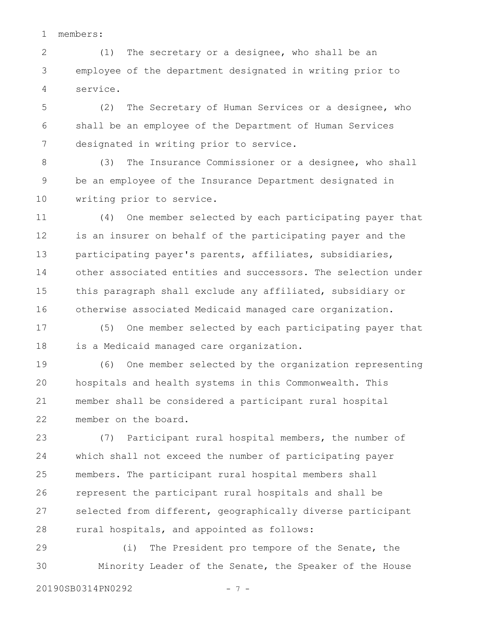members: 1

(1) The secretary or a designee, who shall be an employee of the department designated in writing prior to service. 2 3 4

(2) The Secretary of Human Services or a designee, who shall be an employee of the Department of Human Services designated in writing prior to service. 5 6 7

(3) The Insurance Commissioner or a designee, who shall be an employee of the Insurance Department designated in writing prior to service. 8 9 10

(4) One member selected by each participating payer that is an insurer on behalf of the participating payer and the participating payer's parents, affiliates, subsidiaries, other associated entities and successors. The selection under this paragraph shall exclude any affiliated, subsidiary or otherwise associated Medicaid managed care organization. 11 12 13 14 15 16

(5) One member selected by each participating payer that is a Medicaid managed care organization. 17 18

(6) One member selected by the organization representing hospitals and health systems in this Commonwealth. This member shall be considered a participant rural hospital member on the board. 19 20 21 22

(7) Participant rural hospital members, the number of which shall not exceed the number of participating payer members. The participant rural hospital members shall represent the participant rural hospitals and shall be selected from different, geographically diverse participant rural hospitals, and appointed as follows: 23 24 25 26 27 28

(i) The President pro tempore of the Senate, the Minority Leader of the Senate, the Speaker of the House 29 30

20190SB0314PN0292 - 7 -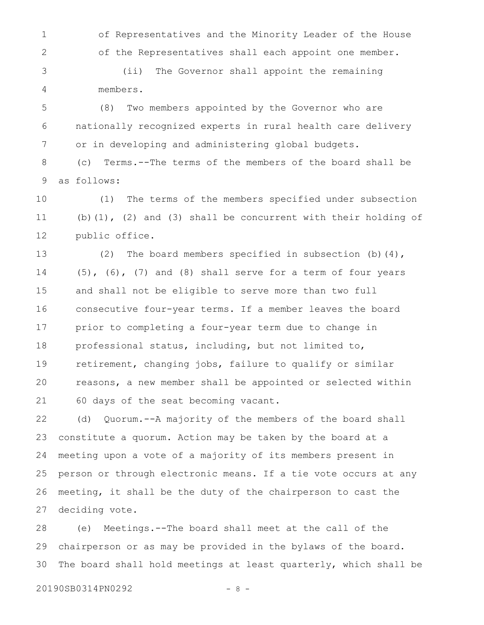of Representatives and the Minority Leader of the House of the Representatives shall each appoint one member. 1 2

(ii) The Governor shall appoint the remaining members. 3 4

(8) Two members appointed by the Governor who are nationally recognized experts in rural health care delivery or in developing and administering global budgets. 5 6 7

(c) Terms.--The terms of the members of the board shall be as follows: 8 9

(1) The terms of the members specified under subsection (b)(1), (2) and (3) shall be concurrent with their holding of public office. 10 11 12

(2) The board members specified in subsection (b)(4),  $(5)$ ,  $(6)$ ,  $(7)$  and  $(8)$  shall serve for a term of four years and shall not be eligible to serve more than two full consecutive four-year terms. If a member leaves the board prior to completing a four-year term due to change in professional status, including, but not limited to, retirement, changing jobs, failure to qualify or similar reasons, a new member shall be appointed or selected within 60 days of the seat becoming vacant. 13 14 15 16 17 18 19 20 21

(d) Quorum.--A majority of the members of the board shall constitute a quorum. Action may be taken by the board at a meeting upon a vote of a majority of its members present in person or through electronic means. If a tie vote occurs at any meeting, it shall be the duty of the chairperson to cast the deciding vote. 22 23 24 25 26 27

(e) Meetings.--The board shall meet at the call of the chairperson or as may be provided in the bylaws of the board. The board shall hold meetings at least quarterly, which shall be 28 29 30

20190SB0314PN0292 - 8 -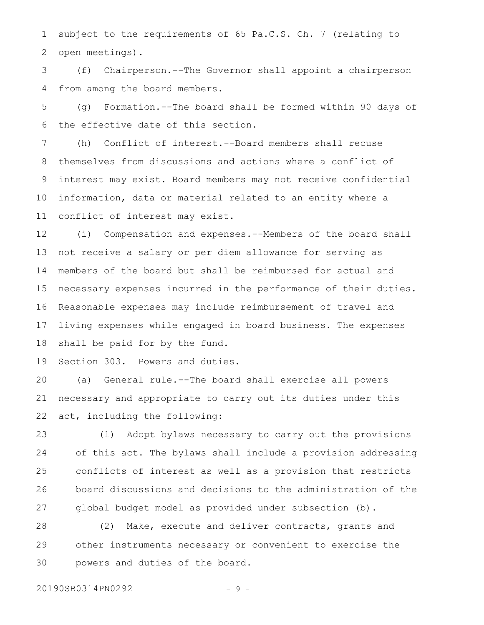subject to the requirements of 65 Pa.C.S. Ch. 7 (relating to open meetings). 1 2

(f) Chairperson.--The Governor shall appoint a chairperson from among the board members. 3 4

(g) Formation.--The board shall be formed within 90 days of the effective date of this section. 5 6

(h) Conflict of interest.--Board members shall recuse themselves from discussions and actions where a conflict of interest may exist. Board members may not receive confidential information, data or material related to an entity where a conflict of interest may exist. 7 8 9 10 11

(i) Compensation and expenses.--Members of the board shall not receive a salary or per diem allowance for serving as members of the board but shall be reimbursed for actual and necessary expenses incurred in the performance of their duties. Reasonable expenses may include reimbursement of travel and living expenses while engaged in board business. The expenses shall be paid for by the fund. 12 13 14 15 16 17 18

Section 303. Powers and duties. 19

(a) General rule.--The board shall exercise all powers necessary and appropriate to carry out its duties under this act, including the following: 20 21 22

(1) Adopt bylaws necessary to carry out the provisions of this act. The bylaws shall include a provision addressing conflicts of interest as well as a provision that restricts board discussions and decisions to the administration of the global budget model as provided under subsection (b). 23 24 25 26 27

(2) Make, execute and deliver contracts, grants and other instruments necessary or convenient to exercise the powers and duties of the board. 28 29 30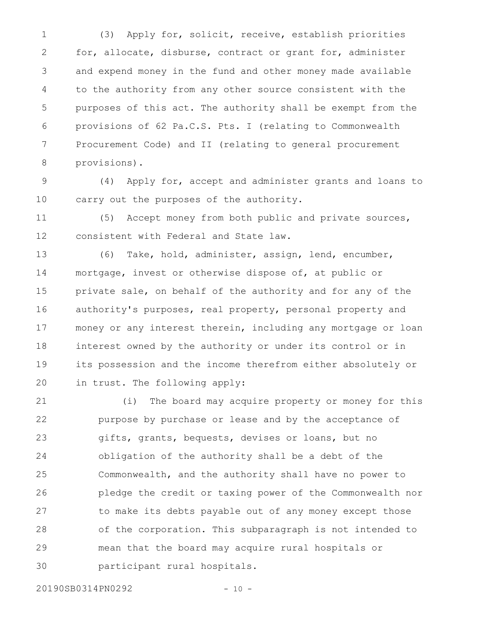(3) Apply for, solicit, receive, establish priorities for, allocate, disburse, contract or grant for, administer and expend money in the fund and other money made available to the authority from any other source consistent with the purposes of this act. The authority shall be exempt from the provisions of 62 Pa.C.S. Pts. I (relating to Commonwealth Procurement Code) and II (relating to general procurement provisions). 1 2 3 4 5 6 7 8

(4) Apply for, accept and administer grants and loans to carry out the purposes of the authority. 9 10

(5) Accept money from both public and private sources, consistent with Federal and State law. 11 12

(6) Take, hold, administer, assign, lend, encumber, mortgage, invest or otherwise dispose of, at public or private sale, on behalf of the authority and for any of the authority's purposes, real property, personal property and money or any interest therein, including any mortgage or loan interest owned by the authority or under its control or in its possession and the income therefrom either absolutely or in trust. The following apply: 13 14 15 16 17 18 19 20

(i) The board may acquire property or money for this purpose by purchase or lease and by the acceptance of gifts, grants, bequests, devises or loans, but no obligation of the authority shall be a debt of the Commonwealth, and the authority shall have no power to pledge the credit or taxing power of the Commonwealth nor to make its debts payable out of any money except those of the corporation. This subparagraph is not intended to mean that the board may acquire rural hospitals or participant rural hospitals. 21 22 23 24 25 26 27 28 29 30

20190SB0314PN0292 - 10 -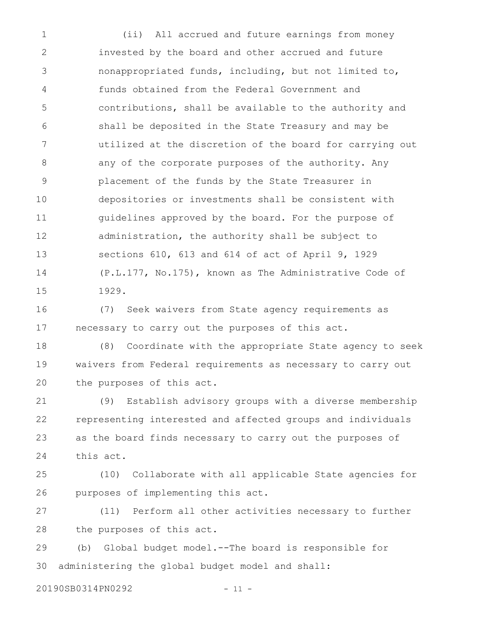(ii) All accrued and future earnings from money invested by the board and other accrued and future nonappropriated funds, including, but not limited to, funds obtained from the Federal Government and contributions, shall be available to the authority and shall be deposited in the State Treasury and may be utilized at the discretion of the board for carrying out any of the corporate purposes of the authority. Any placement of the funds by the State Treasurer in depositories or investments shall be consistent with guidelines approved by the board. For the purpose of administration, the authority shall be subject to sections 610, 613 and 614 of act of April 9, 1929 (P.L.177, No.175), known as The Administrative Code of 1929. 1 2 3 4 5 6 7 8 9 10 11 12 13 14 15

(7) Seek waivers from State agency requirements as necessary to carry out the purposes of this act. 16 17

(8) Coordinate with the appropriate State agency to seek waivers from Federal requirements as necessary to carry out the purposes of this act. 18 19 20

(9) Establish advisory groups with a diverse membership representing interested and affected groups and individuals as the board finds necessary to carry out the purposes of this act. 21 22 23 24

(10) Collaborate with all applicable State agencies for purposes of implementing this act. 25 26

(11) Perform all other activities necessary to further the purposes of this act. 27 28

(b) Global budget model.--The board is responsible for administering the global budget model and shall: 29 30

20190SB0314PN0292 - 11 -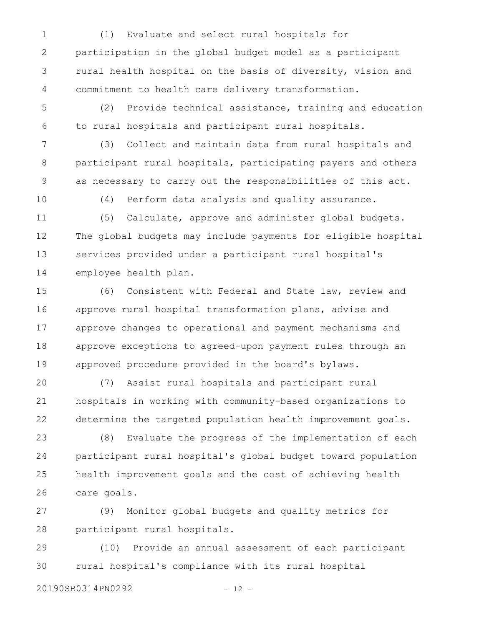(1) Evaluate and select rural hospitals for participation in the global budget model as a participant rural health hospital on the basis of diversity, vision and commitment to health care delivery transformation. 1 2 3 4

(2) Provide technical assistance, training and education to rural hospitals and participant rural hospitals. 5 6

(3) Collect and maintain data from rural hospitals and participant rural hospitals, participating payers and others as necessary to carry out the responsibilities of this act. 7 8 9

10

(4) Perform data analysis and quality assurance.

(5) Calculate, approve and administer global budgets. The global budgets may include payments for eligible hospital services provided under a participant rural hospital's employee health plan. 11 12 13 14

(6) Consistent with Federal and State law, review and approve rural hospital transformation plans, advise and approve changes to operational and payment mechanisms and approve exceptions to agreed-upon payment rules through an approved procedure provided in the board's bylaws. 15 16 17 18 19

(7) Assist rural hospitals and participant rural hospitals in working with community-based organizations to determine the targeted population health improvement goals. 20 21 22

(8) Evaluate the progress of the implementation of each participant rural hospital's global budget toward population health improvement goals and the cost of achieving health care goals. 23 24 25 26

(9) Monitor global budgets and quality metrics for participant rural hospitals. 27 28

(10) Provide an annual assessment of each participant rural hospital's compliance with its rural hospital 29 30

20190SB0314PN0292 - 12 -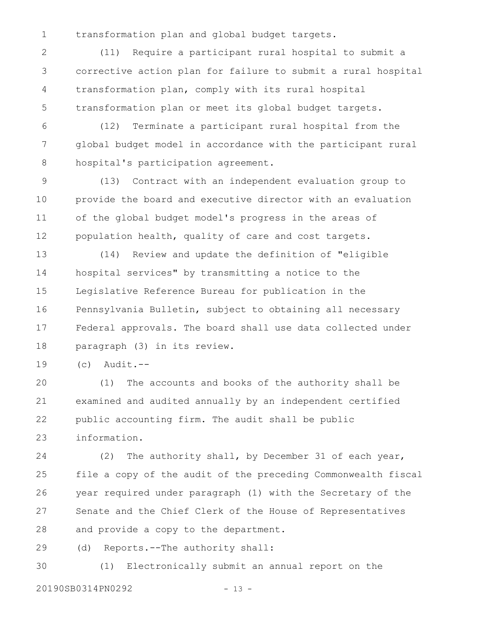transformation plan and global budget targets. 1

(11) Require a participant rural hospital to submit a corrective action plan for failure to submit a rural hospital transformation plan, comply with its rural hospital transformation plan or meet its global budget targets. 2 3 4 5

(12) Terminate a participant rural hospital from the global budget model in accordance with the participant rural hospital's participation agreement. 6 7 8

(13) Contract with an independent evaluation group to provide the board and executive director with an evaluation of the global budget model's progress in the areas of population health, quality of care and cost targets. 9 10 11 12

(14) Review and update the definition of "eligible hospital services" by transmitting a notice to the Legislative Reference Bureau for publication in the Pennsylvania Bulletin, subject to obtaining all necessary Federal approvals. The board shall use data collected under paragraph (3) in its review. 13 14 15 16 17 18

 $(c)$  Audit.--19

(1) The accounts and books of the authority shall be examined and audited annually by an independent certified public accounting firm. The audit shall be public information. 20 21 22 23

(2) The authority shall, by December 31 of each year, file a copy of the audit of the preceding Commonwealth fiscal year required under paragraph (1) with the Secretary of the Senate and the Chief Clerk of the House of Representatives and provide a copy to the department. 24 25 26 27 28

(d) Reports.--The authority shall: 29

(1) Electronically submit an annual report on the 30

20190SB0314PN0292 - 13 -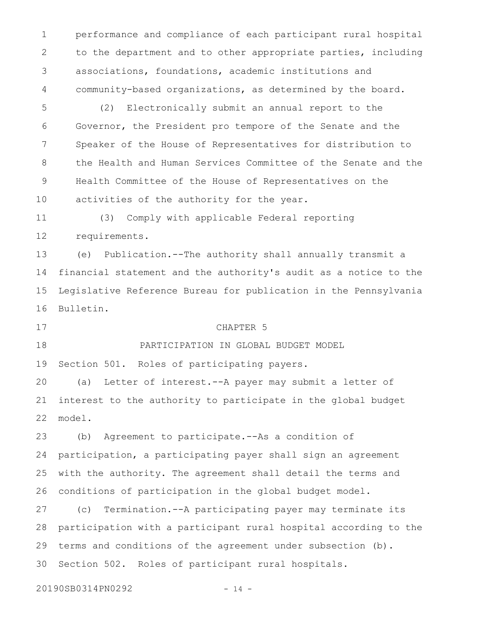performance and compliance of each participant rural hospital to the department and to other appropriate parties, including associations, foundations, academic institutions and community-based organizations, as determined by the board. 1 2 3 4

(2) Electronically submit an annual report to the Governor, the President pro tempore of the Senate and the Speaker of the House of Representatives for distribution to the Health and Human Services Committee of the Senate and the Health Committee of the House of Representatives on the activities of the authority for the year. 5 6 7 8 9 10

(3) Comply with applicable Federal reporting requirements. 11 12

(e) Publication.--The authority shall annually transmit a financial statement and the authority's audit as a notice to the Legislative Reference Bureau for publication in the Pennsylvania Bulletin. 13 14 15 16

17

#### CHAPTER 5

PARTICIPATION IN GLOBAL BUDGET MODEL 18

Section 501. Roles of participating payers. 19

(a) Letter of interest.--A payer may submit a letter of interest to the authority to participate in the global budget model. 20 21 22

(b) Agreement to participate.--As a condition of participation, a participating payer shall sign an agreement with the authority. The agreement shall detail the terms and conditions of participation in the global budget model. 23 24 25 26

(c) Termination.--A participating payer may terminate its participation with a participant rural hospital according to the terms and conditions of the agreement under subsection (b). Section 502. Roles of participant rural hospitals. 27 28 29 30

20190SB0314PN0292 - 14 -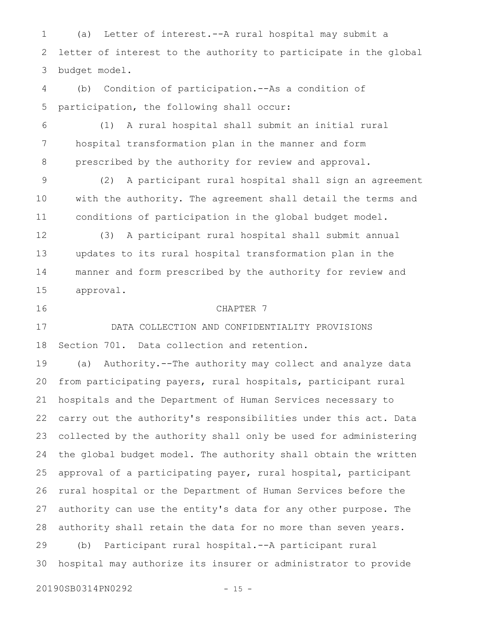(a) Letter of interest.--A rural hospital may submit a letter of interest to the authority to participate in the global budget model. 1 2 3

(b) Condition of participation.--As a condition of participation, the following shall occur: 4 5

(1) A rural hospital shall submit an initial rural hospital transformation plan in the manner and form prescribed by the authority for review and approval. 6 7 8

(2) A participant rural hospital shall sign an agreement with the authority. The agreement shall detail the terms and conditions of participation in the global budget model. 9 10 11

(3) A participant rural hospital shall submit annual updates to its rural hospital transformation plan in the manner and form prescribed by the authority for review and approval. 12 13 14 15

16

## CHAPTER 7

DATA COLLECTION AND CONFIDENTIALITY PROVISIONS Section 701. Data collection and retention. 17 18

(a) Authority.--The authority may collect and analyze data from participating payers, rural hospitals, participant rural hospitals and the Department of Human Services necessary to carry out the authority's responsibilities under this act. Data collected by the authority shall only be used for administering the global budget model. The authority shall obtain the written approval of a participating payer, rural hospital, participant rural hospital or the Department of Human Services before the authority can use the entity's data for any other purpose. The authority shall retain the data for no more than seven years. (b) Participant rural hospital.--A participant rural hospital may authorize its insurer or administrator to provide 19 20 21 22 23 24 25 26 27 28 29 30

20190SB0314PN0292 - 15 -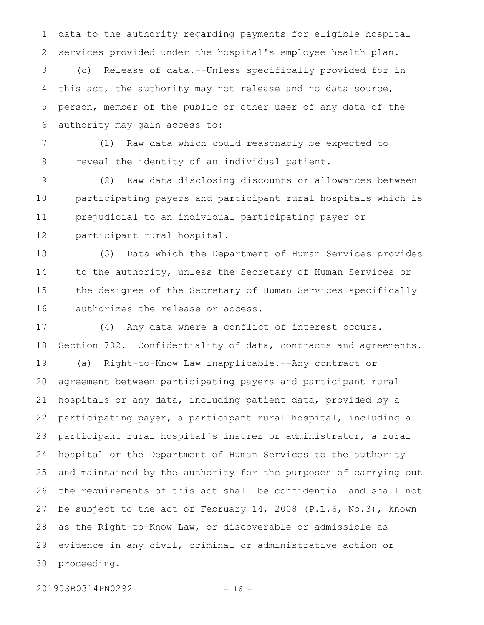data to the authority regarding payments for eligible hospital services provided under the hospital's employee health plan. 1 2

(c) Release of data.--Unless specifically provided for in this act, the authority may not release and no data source, person, member of the public or other user of any data of the authority may gain access to: 3 4 5 6

(1) Raw data which could reasonably be expected to reveal the identity of an individual patient. 7 8

(2) Raw data disclosing discounts or allowances between participating payers and participant rural hospitals which is prejudicial to an individual participating payer or participant rural hospital. 9 10 11 12

(3) Data which the Department of Human Services provides to the authority, unless the Secretary of Human Services or the designee of the Secretary of Human Services specifically authorizes the release or access. 13 14 15 16

(4) Any data where a conflict of interest occurs. Section 702. Confidentiality of data, contracts and agreements. (a) Right-to-Know Law inapplicable.--Any contract or agreement between participating payers and participant rural hospitals or any data, including patient data, provided by a participating payer, a participant rural hospital, including a participant rural hospital's insurer or administrator, a rural hospital or the Department of Human Services to the authority and maintained by the authority for the purposes of carrying out the requirements of this act shall be confidential and shall not be subject to the act of February 14, 2008 (P.L.6, No.3), known as the Right-to-Know Law, or discoverable or admissible as evidence in any civil, criminal or administrative action or proceeding. 17 18 19 20 21 22 23 24 25 26 27 28 29 30

20190SB0314PN0292 - 16 -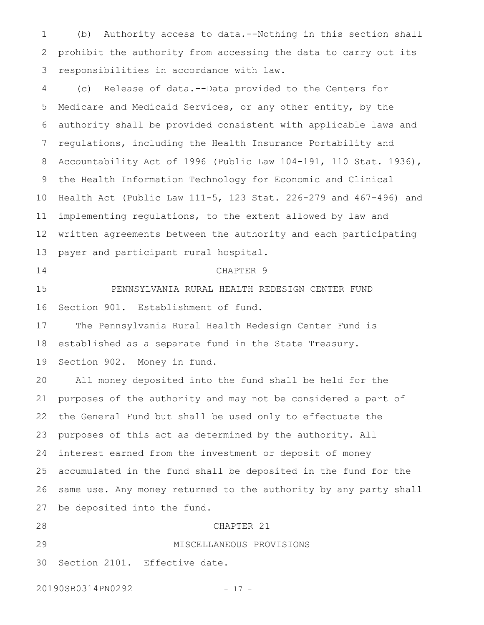(b) Authority access to data.--Nothing in this section shall prohibit the authority from accessing the data to carry out its responsibilities in accordance with law. 1 2 3

(c) Release of data.--Data provided to the Centers for Medicare and Medicaid Services, or any other entity, by the authority shall be provided consistent with applicable laws and regulations, including the Health Insurance Portability and Accountability Act of 1996 (Public Law 104-191, 110 Stat. 1936), the Health Information Technology for Economic and Clinical Health Act (Public Law 111-5, 123 Stat. 226-279 and 467-496) and implementing regulations, to the extent allowed by law and written agreements between the authority and each participating payer and participant rural hospital. 4 5 6 7 8 9 10 11 12 13

14

## CHAPTER 9

PENNSYLVANIA RURAL HEALTH REDESIGN CENTER FUND Section 901. Establishment of fund. 15 16

The Pennsylvania Rural Health Redesign Center Fund is established as a separate fund in the State Treasury. 17 18

Section 902. Money in fund. 19

All money deposited into the fund shall be held for the purposes of the authority and may not be considered a part of the General Fund but shall be used only to effectuate the purposes of this act as determined by the authority. All interest earned from the investment or deposit of money accumulated in the fund shall be deposited in the fund for the same use. Any money returned to the authority by any party shall be deposited into the fund. 20 21 22 23 24 25 26 27

CHAPTER 21 MISCELLANEOUS PROVISIONS Section 2101. Effective date. 28 29 30

20190SB0314PN0292 - 17 -